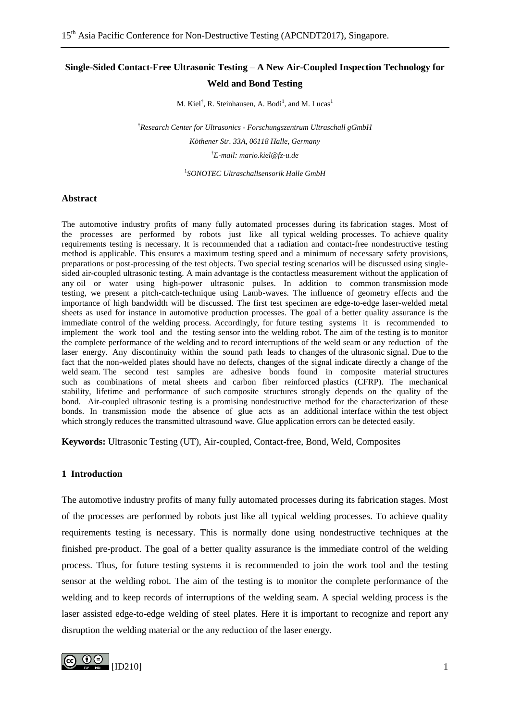# **Single-Sided Contact-Free Ultrasonic Testing – A New Air-Coupled Inspection Technology for Weld and Bond Testing**

M. Kiel<sup>†</sup>, R. Steinhausen, A. Bodi<sup>1</sup>, and M. Lucas<sup>1</sup>

†*Research Center for Ultrasonics - Forschungszentrum Ultraschall gGmbH Köthener Str. 33A, 06118 Halle, Germany*  †*E-mail: mario.kiel@fz-u.de*

1 *SONOTEC Ultraschallsensorik Halle GmbH*

#### **Abstract**

The automotive industry profits of many fully automated processes during its fabrication stages. Most of the processes are performed by robots just like all typical welding processes. To achieve quality requirements testing is necessary. It is recommended that a radiation and contact-free nondestructive testing method is applicable. This ensures a maximum testing speed and a minimum of necessary safety provisions, preparations or post-processing of the test objects. Two special testing scenarios will be discussed using singlesided air-coupled ultrasonic testing. A main advantage is the contactless measurement without the application of any oil or water using high-power ultrasonic pulses. In addition to common transmission mode testing, we present a pitch-catch-technique using Lamb-waves. The influence of geometry effects and the importance of high bandwidth will be discussed. The first test specimen are edge-to-edge laser-welded metal sheets as used for instance in automotive production processes. The goal of a better quality assurance is the immediate control of the welding process. Accordingly, for future testing systems it is recommended to implement the work tool and the testing sensor into the welding robot. The aim of the testing is to monitor the complete performance of the welding and to record interruptions of the weld seam or any reduction of the laser energy. Any discontinuity within the sound path leads to changes of the ultrasonic signal. Due to the fact that the non-welded plates should have no defects, changes of the signal indicate directly a change of the weld seam. The second test samples are adhesive bonds found in composite material structures such as combinations of metal sheets and carbon fiber reinforced plastics (CFRP). The mechanical stability, lifetime and performance of such composite structures strongly depends on the quality of the bond. Air-coupled ultrasonic testing is a promising nondestructive method for the characterization of these bonds. In transmission mode the absence of glue acts as an additional interface within the test object which strongly reduces the transmitted ultrasound wave. Glue application errors can be detected easily.

**Keywords:** Ultrasonic Testing (UT), Air-coupled, Contact-free, Bond, Weld, Composites

# **1 Introduction**

The automotive industry profits of many fully automated processes during its fabrication stages. Most of the processes are performed by robots just like all typical welding processes. To achieve quality requirements testing is necessary. This is normally done using nondestructive techniques at the finished pre-product. The goal of a better quality assurance is the immediate control of the welding process. Thus, for future testing systems it is recommended to join the work tool and the testing sensor at the welding robot. The aim of the testing is to monitor the complete performance of the welding and to keep records of interruptions of the welding seam. A special welding process is the laser assisted edge-to-edge welding of steel plates. Here it is important to recognize and report any disruption the welding material or the any reduction of the laser energy.

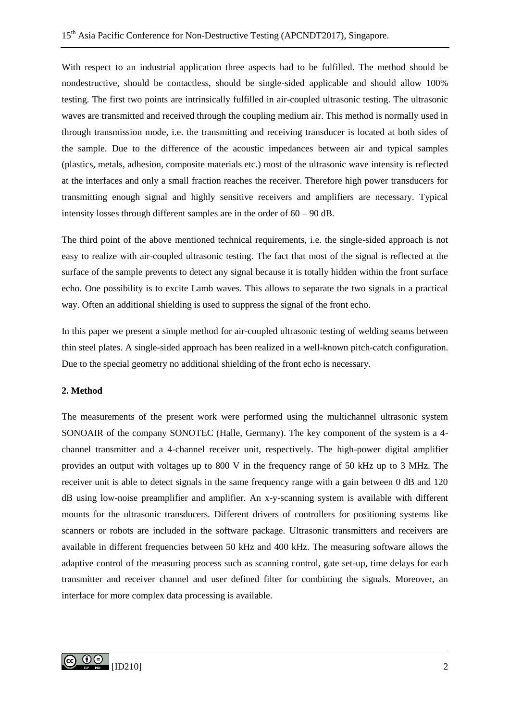With respect to an industrial application three aspects had to be fulfilled. The method should be nondestructive, should be contactless, should be single-sided applicable and should allow 100% testing. The first two points are intrinsically fulfilled in air-coupled ultrasonic testing. The ultrasonic waves are transmitted and received through the coupling medium air. This method is normally used in through transmission mode, i.e. the transmitting and receiving transducer is located at both sides of the sample. Due to the difference of the acoustic impedances between air and typical samples (plastics, metals, adhesion, composite materials etc.) most of the ultrasonic wave intensity is reflected at the interfaces and only a small fraction reaches the receiver. Therefore high power transducers for transmitting enough signal and highly sensitive receivers and amplifiers are necessary. Typical intensity losses through different samples are in the order of 60 – 90 dB.

The third point of the above mentioned technical requirements, i.e. the single-sided approach is not easy to realize with air-coupled ultrasonic testing. The fact that most of the signal is reflected at the surface of the sample prevents to detect any signal because it is totally hidden within the front surface echo. One possibility is to excite Lamb waves. This allows to separate the two signals in a practical way. Often an additional shielding is used to suppress the signal of the front echo.

In this paper we present a simple method for air-coupled ultrasonic testing of welding seams between thin steel plates. A single-sided approach has been realized in a well-known pitch-catch configuration. Due to the special geometry no additional shielding of the front echo is necessary.

# **2. Method**

The measurements of the present work were performed using the multichannel ultrasonic system SONOAIR of the company SONOTEC (Halle, Germany). The key component of the system is a 4 channel transmitter and a 4-channel receiver unit, respectively. The high-power digital amplifier provides an output with voltages up to 800 V in the frequency range of 50 kHz up to 3 MHz. The receiver unit is able to detect signals in the same frequency range with a gain between 0 dB and 120 dB using low-noise preamplifier and amplifier. An x-y-scanning system is available with different mounts for the ultrasonic transducers. Different drivers of controllers for positioning systems like scanners or robots are included in the software package. Ultrasonic transmitters and receivers are available in different frequencies between 50 kHz and 400 kHz. The measuring software allows the adaptive control of the measuring process such as scanning control, gate set-up, time delays for each transmitter and receiver channel and user defined filter for combining the signals. Moreover, an interface for more complex data processing is available.

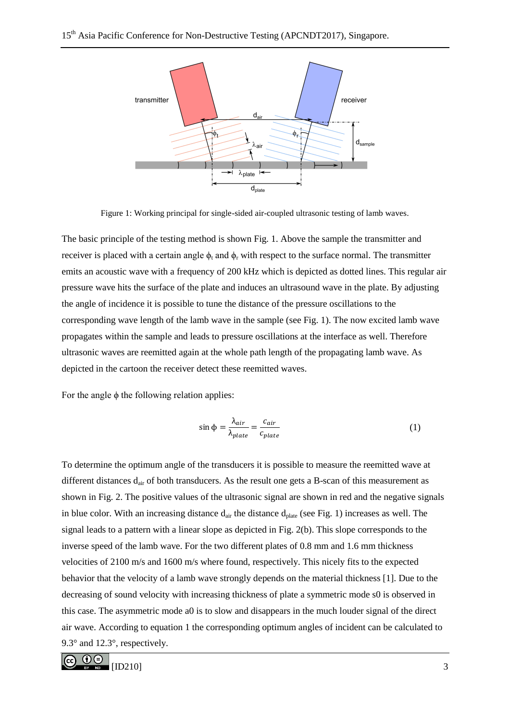

Figure 1: Working principal for single-sided air-coupled ultrasonic testing of lamb waves.

The basic principle of the testing method is shown Fig. 1. Above the sample the transmitter and receiver is placed with a certain angle  $\phi_t$  and  $\phi_r$  with respect to the surface normal. The transmitter emits an acoustic wave with a frequency of 200 kHz which is depicted as dotted lines. This regular air pressure wave hits the surface of the plate and induces an ultrasound wave in the plate. By adjusting the angle of incidence it is possible to tune the distance of the pressure oscillations to the corresponding wave length of the lamb wave in the sample (see Fig. 1). The now excited lamb wave propagates within the sample and leads to pressure oscillations at the interface as well. Therefore ultrasonic waves are reemitted again at the whole path length of the propagating lamb wave. As depicted in the cartoon the receiver detect these reemitted waves.

For the angle  $\phi$  the following relation applies:

$$
\sin \phi = \frac{\lambda_{air}}{\lambda_{plate}} = \frac{c_{air}}{c_{plate}} \tag{1}
$$

To determine the optimum angle of the transducers it is possible to measure the reemitted wave at different distances d<sub>air</sub> of both transducers. As the result one gets a B-scan of this measurement as shown in Fig. 2. The positive values of the ultrasonic signal are shown in red and the negative signals in blue color. With an increasing distance  $d_{air}$  the distance  $d_{plate}$  (see Fig. 1) increases as well. The signal leads to a pattern with a linear slope as depicted in Fig. 2(b). This slope corresponds to the inverse speed of the lamb wave. For the two different plates of 0.8 mm and 1.6 mm thickness velocities of 2100 m/s and 1600 m/s where found, respectively. This nicely fits to the expected behavior that the velocity of a lamb wave strongly depends on the material thickness [1]. Due to the decreasing of sound velocity with increasing thickness of plate a symmetric mode s0 is observed in this case. The asymmetric mode a0 is to slow and disappears in the much louder signal of the direct air wave. According to equation 1 the corresponding optimum angles of incident can be calculated to 9.3° and 12.3°, respectively.

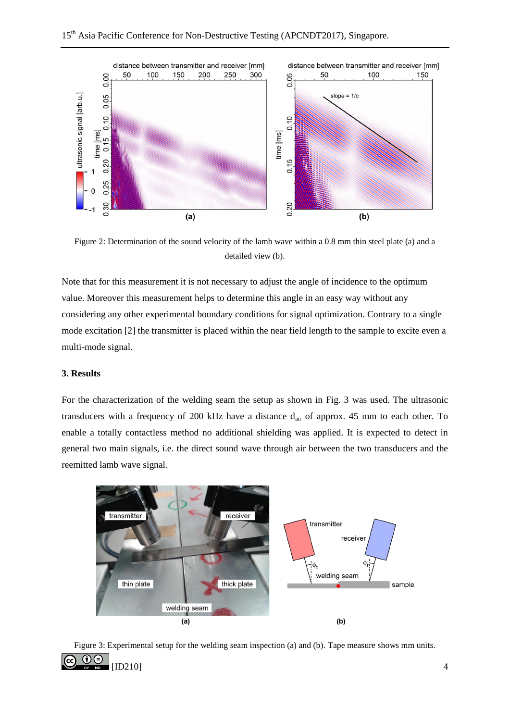

Figure 2: Determination of the sound velocity of the lamb wave within a 0.8 mm thin steel plate (a) and a detailed view (b).

Note that for this measurement it is not necessary to adjust the angle of incidence to the optimum value. Moreover this measurement helps to determine this angle in an easy way without any considering any other experimental boundary conditions for signal optimization. Contrary to a single mode excitation [2] the transmitter is placed within the near field length to the sample to excite even a multi-mode signal.

## **3. Results**

For the characterization of the welding seam the setup as shown in Fig. 3 was used. The ultrasonic transducers with a frequency of 200 kHz have a distance d<sub>air</sub> of approx. 45 mm to each other. To enable a totally contactless method no additional shielding was applied. It is expected to detect in general two main signals, i.e. the direct sound wave through air between the two transducers and the reemitted lamb wave signal.



Figure 3: Experimental setup for the welding seam inspection (a) and (b). Tape measure shows mm units.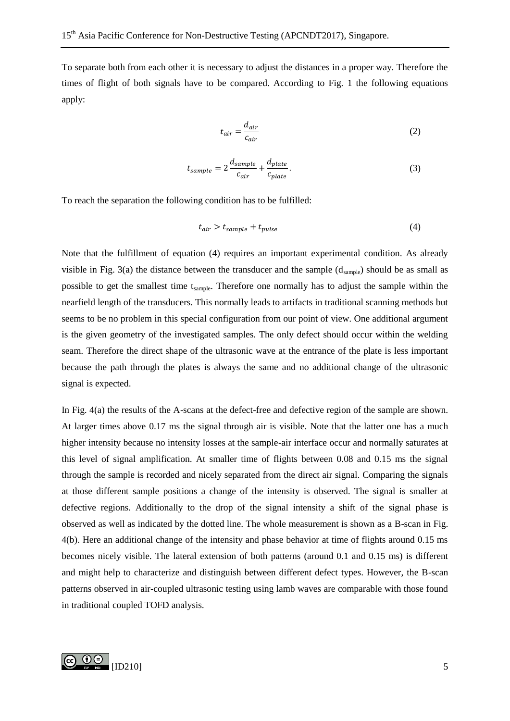To separate both from each other it is necessary to adjust the distances in a proper way. Therefore the times of flight of both signals have to be compared. According to Fig. 1 the following equations apply:

$$
t_{air} = \frac{d_{air}}{c_{air}} \tag{2}
$$

$$
t_{sample} = 2\frac{d_{sample}}{c_{air}} + \frac{d_{plate}}{c_{plate}}.
$$
\n(3)

To reach the separation the following condition has to be fulfilled:

$$
t_{air} > t_{sample} + t_{pulse} \tag{4}
$$

Note that the fulfillment of equation (4) requires an important experimental condition. As already visible in Fig. 3(a) the distance between the transducer and the sample  $(d_{sample})$  should be as small as possible to get the smallest time t<sub>sample</sub>. Therefore one normally has to adjust the sample within the nearfield length of the transducers. This normally leads to artifacts in traditional scanning methods but seems to be no problem in this special configuration from our point of view. One additional argument is the given geometry of the investigated samples. The only defect should occur within the welding seam. Therefore the direct shape of the ultrasonic wave at the entrance of the plate is less important because the path through the plates is always the same and no additional change of the ultrasonic signal is expected.

In Fig. 4(a) the results of the A-scans at the defect-free and defective region of the sample are shown. At larger times above 0.17 ms the signal through air is visible. Note that the latter one has a much higher intensity because no intensity losses at the sample-air interface occur and normally saturates at this level of signal amplification. At smaller time of flights between 0.08 and 0.15 ms the signal through the sample is recorded and nicely separated from the direct air signal. Comparing the signals at those different sample positions a change of the intensity is observed. The signal is smaller at defective regions. Additionally to the drop of the signal intensity a shift of the signal phase is observed as well as indicated by the dotted line. The whole measurement is shown as a B-scan in Fig. 4(b). Here an additional change of the intensity and phase behavior at time of flights around 0.15 ms becomes nicely visible. The lateral extension of both patterns (around 0.1 and 0.15 ms) is different and might help to characterize and distinguish between different defect types. However, the B-scan patterns observed in air-coupled ultrasonic testing using lamb waves are comparable with those found in traditional coupled TOFD analysis.

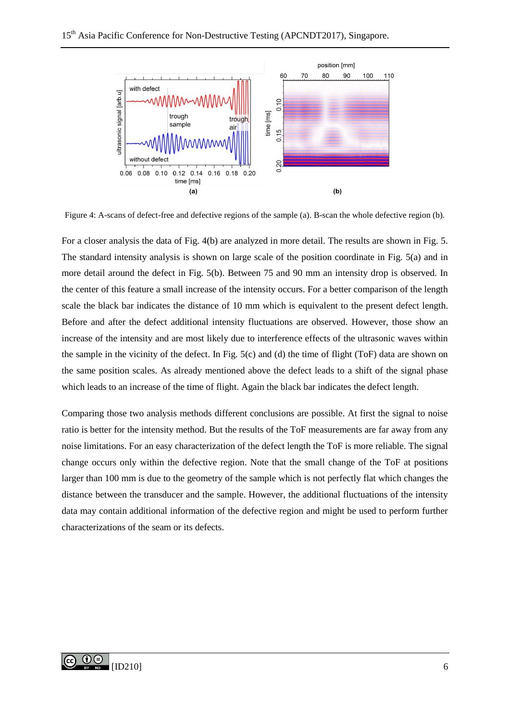

Figure 4: A-scans of defect-free and defective regions of the sample (a). B-scan the whole defective region (b).

For a closer analysis the data of Fig. 4(b) are analyzed in more detail. The results are shown in Fig. 5. The standard intensity analysis is shown on large scale of the position coordinate in Fig. 5(a) and in more detail around the defect in Fig. 5(b). Between 75 and 90 mm an intensity drop is observed. In the center of this feature a small increase of the intensity occurs. For a better comparison of the length scale the black bar indicates the distance of 10 mm which is equivalent to the present defect length. Before and after the defect additional intensity fluctuations are observed. However, those show an increase of the intensity and are most likely due to interference effects of the ultrasonic waves within the sample in the vicinity of the defect. In Fig. 5(c) and (d) the time of flight (ToF) data are shown on the same position scales. As already mentioned above the defect leads to a shift of the signal phase which leads to an increase of the time of flight. Again the black bar indicates the defect length.

Comparing those two analysis methods different conclusions are possible. At first the signal to noise ratio is better for the intensity method. But the results of the ToF measurements are far away from any noise limitations. For an easy characterization of the defect length the ToF is more reliable. The signal change occurs only within the defective region. Note that the small change of the ToF at positions larger than 100 mm is due to the geometry of the sample which is not perfectly flat which changes the distance between the transducer and the sample. However, the additional fluctuations of the intensity data may contain additional information of the defective region and might be used to perform further characterizations of the seam or its defects.

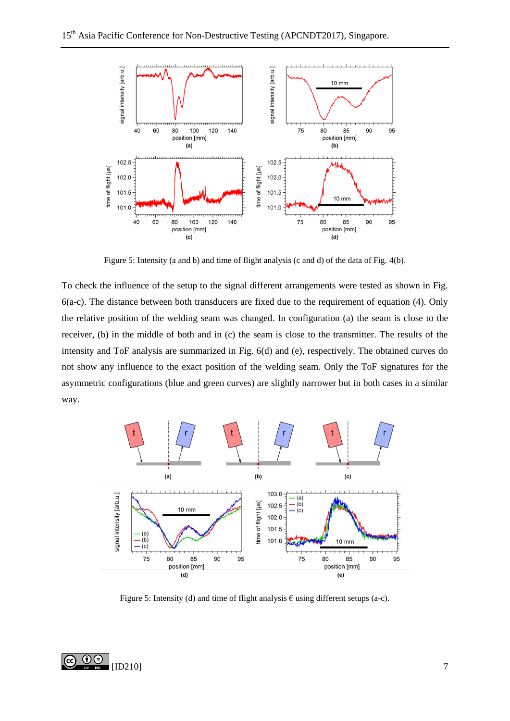

Figure 5: Intensity (a and b) and time of flight analysis (c and d) of the data of Fig. 4(b).

To check the influence of the setup to the signal different arrangements were tested as shown in Fig. 6(a-c). The distance between both transducers are fixed due to the requirement of equation (4). Only the relative position of the welding seam was changed. In configuration (a) the seam is close to the receiver, (b) in the middle of both and in (c) the seam is close to the transmitter. The results of the intensity and ToF analysis are summarized in Fig. 6(d) and (e), respectively. The obtained curves do not show any influence to the exact position of the welding seam. Only the ToF signatures for the asymmetric configurations (blue and green curves) are slightly narrower but in both cases in a similar way.



Figure 5: Intensity (d) and time of flight analysis  $\epsilon$  using different setups (a-c).